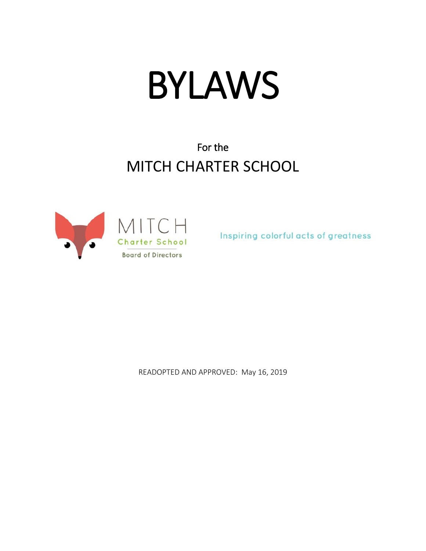# BYLAWS

# For the MITCH CHARTER SCHOOL



Inspiring colorful acts of greatness

READOPTED AND APPROVED: May 16, 2019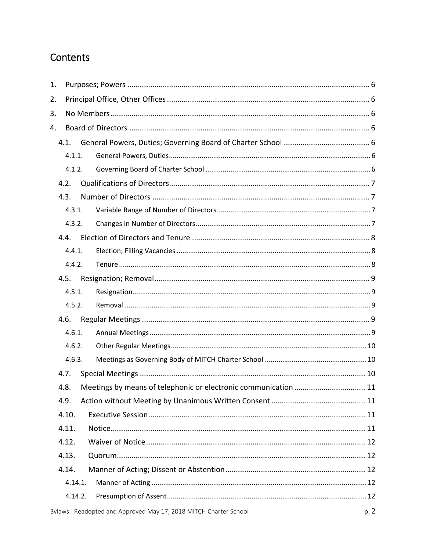# Contents

| 1. |       |         |                                                                  |      |
|----|-------|---------|------------------------------------------------------------------|------|
| 2. |       |         |                                                                  |      |
| 3. |       |         |                                                                  |      |
| 4. |       |         |                                                                  |      |
|    |       |         |                                                                  |      |
|    |       | 4.1.1.  |                                                                  |      |
|    |       | 4.1.2.  |                                                                  |      |
|    | 4.2.  |         |                                                                  |      |
|    | 4.3.  |         |                                                                  |      |
|    |       | 4.3.1.  |                                                                  |      |
|    |       | 4.3.2.  |                                                                  |      |
|    | 4.4.  |         |                                                                  |      |
|    |       | 4.4.1.  |                                                                  |      |
|    |       | 4.4.2.  |                                                                  |      |
|    | 4.5.  |         |                                                                  |      |
|    |       | 4.5.1.  |                                                                  |      |
|    |       | 4.5.2.  |                                                                  |      |
|    | 4.6.  |         |                                                                  |      |
|    |       | 4.6.1.  |                                                                  |      |
|    |       | 4.6.2.  |                                                                  |      |
|    |       | 4.6.3.  |                                                                  |      |
|    | 4.7.  |         |                                                                  |      |
|    | 4.8.  |         | Meetings by means of telephonic or electronic communication  11  |      |
|    | 4.9.  |         |                                                                  |      |
|    | 4.10. |         |                                                                  |      |
|    | 4.11. |         |                                                                  |      |
|    | 4.12. |         |                                                                  |      |
|    | 4.13. |         |                                                                  |      |
|    | 4.14. |         |                                                                  |      |
|    |       | 4.14.1. |                                                                  |      |
|    |       | 4.14.2. |                                                                  |      |
|    |       |         | Bylaws: Readopted and Approved May 17, 2018 MITCH Charter School | p. 2 |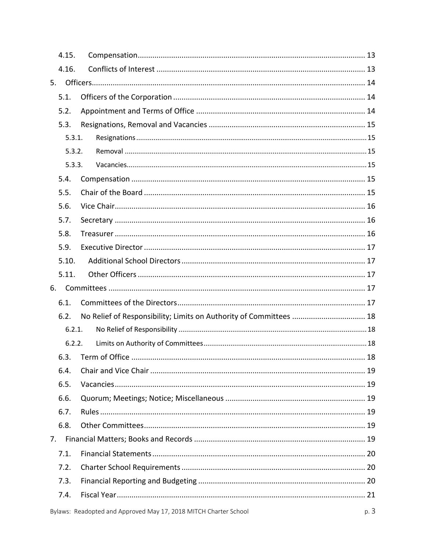|    | 4.15.  |                                                                  |      |
|----|--------|------------------------------------------------------------------|------|
|    | 4.16.  |                                                                  |      |
| 5. |        |                                                                  |      |
|    | 5.1.   |                                                                  |      |
|    | 5.2.   |                                                                  |      |
|    | 5.3.   |                                                                  |      |
|    | 5.3.1. |                                                                  |      |
|    | 5.3.2. |                                                                  |      |
|    | 5.3.3. |                                                                  |      |
|    | 5.4.   |                                                                  |      |
|    | 5.5.   |                                                                  |      |
|    | 5.6.   |                                                                  |      |
|    | 5.7.   |                                                                  |      |
|    | 5.8.   |                                                                  |      |
|    | 5.9.   |                                                                  |      |
|    | 5.10.  |                                                                  |      |
|    | 5.11.  |                                                                  |      |
| 6. |        |                                                                  |      |
|    | 6.1.   |                                                                  |      |
|    | 6.2.   |                                                                  |      |
|    | 6.2.1. |                                                                  |      |
|    | 6.2.2. |                                                                  |      |
|    | 6.3.   |                                                                  |      |
|    | 6.4.   |                                                                  |      |
|    | 6.5.   |                                                                  |      |
|    | 6.6.   |                                                                  |      |
|    | 6.7.   |                                                                  |      |
|    | 6.8.   |                                                                  |      |
|    |        |                                                                  |      |
|    | 7.1.   |                                                                  |      |
|    | 7.2.   |                                                                  |      |
|    | 7.3.   |                                                                  |      |
|    | 7.4.   |                                                                  |      |
|    |        | Bylaws: Readopted and Approved May 17, 2018 MITCH Charter School | p. 3 |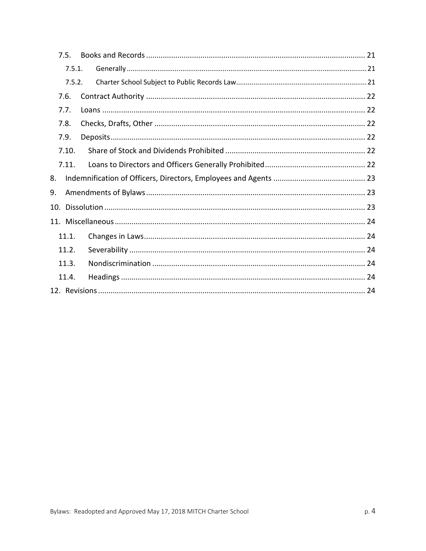| 7.5.   |  |
|--------|--|
| 7.5.1. |  |
| 7.5.2. |  |
| 7.6.   |  |
| 7.7.   |  |
| 7.8.   |  |
| 7.9.   |  |
| 7.10.  |  |
| 7.11.  |  |
| 8.     |  |
| 9.     |  |
| 10.    |  |
|        |  |
| 11.1.  |  |
| 11.2.  |  |
| 11.3.  |  |
| 11.4.  |  |
|        |  |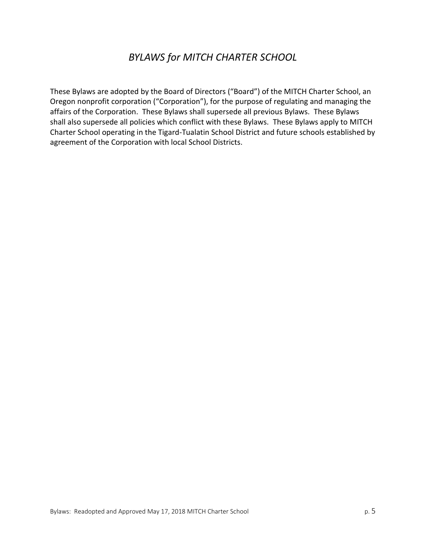# *BYLAWS for MITCH CHARTER SCHOOL*

These Bylaws are adopted by the Board of Directors ("Board") of the MITCH Charter School, an Oregon nonprofit corporation ("Corporation"), for the purpose of regulating and managing the affairs of the Corporation. These Bylaws shall supersede all previous Bylaws. These Bylaws shall also supersede all policies which conflict with these Bylaws. These Bylaws apply to MITCH Charter School operating in the Tigard-Tualatin School District and future schools established by agreement of the Corporation with local School Districts.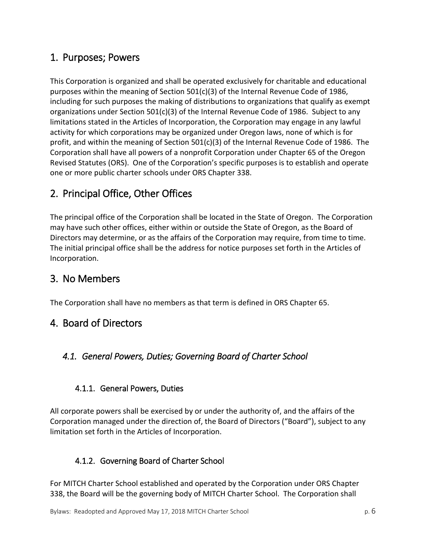# <span id="page-5-0"></span>1. Purposes; Powers

This Corporation is organized and shall be operated exclusively for charitable and educational purposes within the meaning of Section 501(c)(3) of the Internal Revenue Code of 1986, including for such purposes the making of distributions to organizations that qualify as exempt organizations under Section 501(c)(3) of the Internal Revenue Code of 1986. Subject to any limitations stated in the Articles of Incorporation, the Corporation may engage in any lawful activity for which corporations may be organized under Oregon laws, none of which is for profit, and within the meaning of Section 501(c)(3) of the Internal Revenue Code of 1986. The Corporation shall have all powers of a nonprofit Corporation under Chapter 65 of the Oregon Revised Statutes (ORS). One of the Corporation's specific purposes is to establish and operate one or more public charter schools under ORS Chapter 338.

# <span id="page-5-1"></span>2. Principal Office, Other Offices

The principal office of the Corporation shall be located in the State of Oregon. The Corporation may have such other offices, either within or outside the State of Oregon, as the Board of Directors may determine, or as the affairs of the Corporation may require, from time to time. The initial principal office shall be the address for notice purposes set forth in the Articles of Incorporation.

# <span id="page-5-2"></span>3. No Members

<span id="page-5-3"></span>The Corporation shall have no members as that term is defined in ORS Chapter 65.

#### 4. Board of Directors

#### <span id="page-5-5"></span><span id="page-5-4"></span>*4.1. General Powers, Duties; Governing Board of Charter School*

#### 4.1.1. General Powers, Duties

All corporate powers shall be exercised by or under the authority of, and the affairs of the Corporation managed under the direction of, the Board of Directors ("Board"), subject to any limitation set forth in the Articles of Incorporation.

#### <span id="page-5-6"></span>4.1.2. Governing Board of Charter School

For MITCH Charter School established and operated by the Corporation under ORS Chapter 338, the Board will be the governing body of MITCH Charter School. The Corporation shall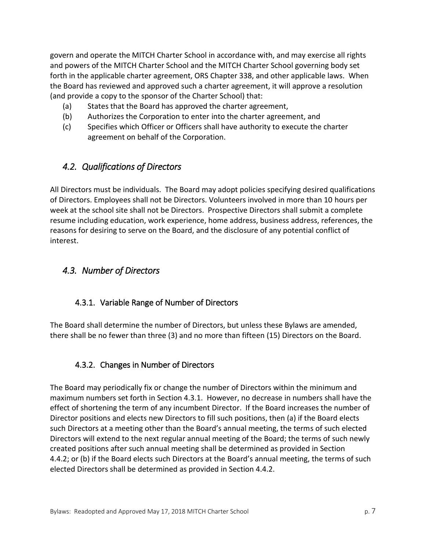govern and operate the MITCH Charter School in accordance with, and may exercise all rights and powers of the MITCH Charter School and the MITCH Charter School governing body set forth in the applicable charter agreement, ORS Chapter 338, and other applicable laws. When the Board has reviewed and approved such a charter agreement, it will approve a resolution (and provide a copy to the sponsor of the Charter School) that:

- (a) States that the Board has approved the charter agreement,
- (b) Authorizes the Corporation to enter into the charter agreement, and
- (c) Specifies which Officer or Officers shall have authority to execute the charter agreement on behalf of the Corporation.

#### <span id="page-6-0"></span>*4.2. Qualifications of Directors*

All Directors must be individuals. The Board may adopt policies specifying desired qualifications of Directors. Employees shall not be Directors. Volunteers involved in more than 10 hours per week at the school site shall not be Directors. Prospective Directors shall submit a complete resume including education, work experience, home address, business address, references, the reasons for desiring to serve on the Board, and the disclosure of any potential conflict of interest.

#### <span id="page-6-2"></span><span id="page-6-1"></span>*4.3. Number of Directors*

#### 4.3.1. Variable Range of Number of Directors

The Board shall determine the number of Directors, but unless these Bylaws are amended, there shall be no fewer than three (3) and no more than fifteen (15) Directors on the Board.

#### <span id="page-6-3"></span>4.3.2. Changes in Number of Directors

The Board may periodically fix or change the number of Directors within the minimum and maximum numbers set forth in Section 4.3.1. However, no decrease in numbers shall have the effect of shortening the term of any incumbent Director. If the Board increases the number of Director positions and elects new Directors to fill such positions, then (a) if the Board elects such Directors at a meeting other than the Board's annual meeting, the terms of such elected Directors will extend to the next regular annual meeting of the Board; the terms of such newly created positions after such annual meeting shall be determined as provided in Section 4.4.2; or (b) if the Board elects such Directors at the Board's annual meeting, the terms of such elected Directors shall be determined as provided in Section 4.4.2.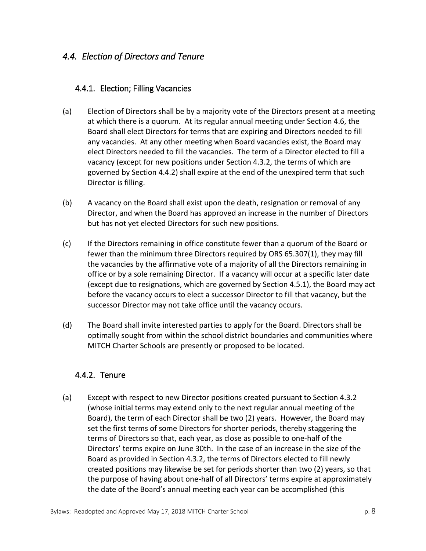#### <span id="page-7-1"></span><span id="page-7-0"></span>*4.4. Election of Directors and Tenure*

#### 4.4.1. Election; Filling Vacancies

- (a) Election of Directors shall be by a majority vote of the Directors present at a meeting at which there is a quorum. At its regular annual meeting under Section 4.6, the Board shall elect Directors for terms that are expiring and Directors needed to fill any vacancies. At any other meeting when Board vacancies exist, the Board may elect Directors needed to fill the vacancies. The term of a Director elected to fill a vacancy (except for new positions under Section 4.3.2, the terms of which are governed by Section 4.4.2) shall expire at the end of the unexpired term that such Director is filling.
- (b) A vacancy on the Board shall exist upon the death, resignation or removal of any Director, and when the Board has approved an increase in the number of Directors but has not yet elected Directors for such new positions.
- (c) If the Directors remaining in office constitute fewer than a quorum of the Board or fewer than the minimum three Directors required by ORS 65.307(1), they may fill the vacancies by the affirmative vote of a majority of all the Directors remaining in office or by a sole remaining Director. If a vacancy will occur at a specific later date (except due to resignations, which are governed by Section 4.5.1), the Board may act before the vacancy occurs to elect a successor Director to fill that vacancy, but the successor Director may not take office until the vacancy occurs.
- (d) The Board shall invite interested parties to apply for the Board. Directors shall be optimally sought from within the school district boundaries and communities where MITCH Charter Schools are presently or proposed to be located.

#### <span id="page-7-2"></span>4.4.2. Tenure

(a) Except with respect to new Director positions created pursuant to Section 4.3.2 (whose initial terms may extend only to the next regular annual meeting of the Board), the term of each Director shall be two (2) years. However, the Board may set the first terms of some Directors for shorter periods, thereby staggering the terms of Directors so that, each year, as close as possible to one-half of the Directors' terms expire on June 30th. In the case of an increase in the size of the Board as provided in Section 4.3.2, the terms of Directors elected to fill newly created positions may likewise be set for periods shorter than two (2) years, so that the purpose of having about one-half of all Directors' terms expire at approximately the date of the Board's annual meeting each year can be accomplished (this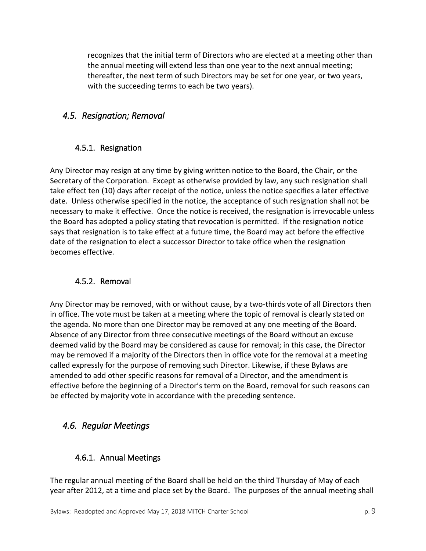recognizes that the initial term of Directors who are elected at a meeting other than the annual meeting will extend less than one year to the next annual meeting; thereafter, the next term of such Directors may be set for one year, or two years, with the succeeding terms to each be two years).

#### <span id="page-8-1"></span><span id="page-8-0"></span>*4.5. Resignation; Removal*

#### 4.5.1. Resignation

Any Director may resign at any time by giving written notice to the Board, the Chair, or the Secretary of the Corporation. Except as otherwise provided by law, any such resignation shall take effect ten (10) days after receipt of the notice, unless the notice specifies a later effective date. Unless otherwise specified in the notice, the acceptance of such resignation shall not be necessary to make it effective. Once the notice is received, the resignation is irrevocable unless the Board has adopted a policy stating that revocation is permitted. If the resignation notice says that resignation is to take effect at a future time, the Board may act before the effective date of the resignation to elect a successor Director to take office when the resignation becomes effective.

#### <span id="page-8-2"></span>4.5.2. Removal

Any Director may be removed, with or without cause, by a two-thirds vote of all Directors then in office. The vote must be taken at a meeting where the topic of removal is clearly stated on the agenda. No more than one Director may be removed at any one meeting of the Board. Absence of any Director from three consecutive meetings of the Board without an excuse deemed valid by the Board may be considered as cause for removal; in this case, the Director may be removed if a majority of the Directors then in office vote for the removal at a meeting called expressly for the purpose of removing such Director. Likewise, if these Bylaws are amended to add other specific reasons for removal of a Director, and the amendment is effective before the beginning of a Director's term on the Board, removal for such reasons can be effected by majority vote in accordance with the preceding sentence.

#### <span id="page-8-4"></span><span id="page-8-3"></span>*4.6. Regular Meetings*

#### 4.6.1. Annual Meetings

The regular annual meeting of the Board shall be held on the third Thursday of May of each year after 2012, at a time and place set by the Board. The purposes of the annual meeting shall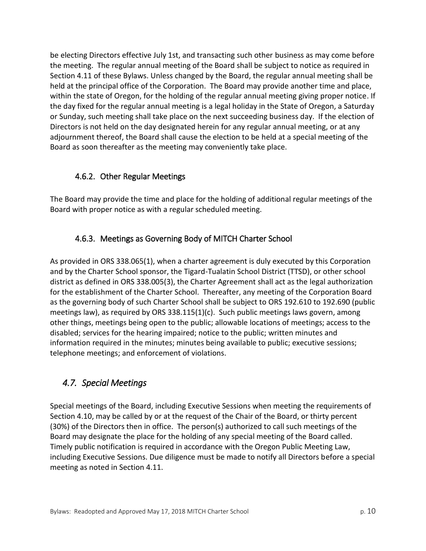be electing Directors effective July 1st, and transacting such other business as may come before the meeting. The regular annual meeting of the Board shall be subject to notice as required in Section 4.11 of these Bylaws. Unless changed by the Board, the regular annual meeting shall be held at the principal office of the Corporation. The Board may provide another time and place, within the state of Oregon, for the holding of the regular annual meeting giving proper notice. If the day fixed for the regular annual meeting is a legal holiday in the State of Oregon, a Saturday or Sunday, such meeting shall take place on the next succeeding business day. If the election of Directors is not held on the day designated herein for any regular annual meeting, or at any adjournment thereof, the Board shall cause the election to be held at a special meeting of the Board as soon thereafter as the meeting may conveniently take place.

#### <span id="page-9-0"></span>4.6.2. Other Regular Meetings

The Board may provide the time and place for the holding of additional regular meetings of the Board with proper notice as with a regular scheduled meeting.

#### <span id="page-9-1"></span>4.6.3. Meetings as Governing Body of MITCH Charter School

As provided in ORS 338.065(1), when a charter agreement is duly executed by this Corporation and by the Charter School sponsor, the Tigard-Tualatin School District (TTSD), or other school district as defined in ORS 338.005(3), the Charter Agreement shall act as the legal authorization for the establishment of the Charter School. Thereafter, any meeting of the Corporation Board as the governing body of such Charter School shall be subject to ORS 192.610 to 192.690 (public meetings law), as required by ORS 338.115(1)(c). Such public meetings laws govern, among other things, meetings being open to the public; allowable locations of meetings; access to the disabled; services for the hearing impaired; notice to the public; written minutes and information required in the minutes; minutes being available to public; executive sessions; telephone meetings; and enforcement of violations.

#### <span id="page-9-2"></span>*4.7. Special Meetings*

Special meetings of the Board, including Executive Sessions when meeting the requirements of Section 4.10, may be called by or at the request of the Chair of the Board, or thirty percent (30%) of the Directors then in office. The person(s) authorized to call such meetings of the Board may designate the place for the holding of any special meeting of the Board called. Timely public notification is required in accordance with the Oregon Public Meeting Law, including Executive Sessions. Due diligence must be made to notify all Directors before a special meeting as noted in Section 4.11.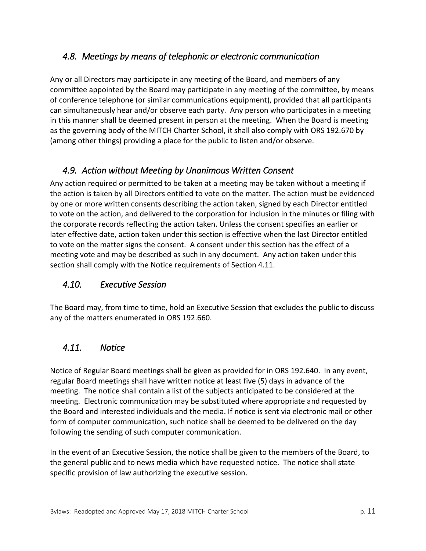#### <span id="page-10-0"></span>*4.8. Meetings by means of telephonic or electronic communication*

Any or all Directors may participate in any meeting of the Board, and members of any committee appointed by the Board may participate in any meeting of the committee, by means of conference telephone (or similar communications equipment), provided that all participants can simultaneously hear and/or observe each party. Any person who participates in a meeting in this manner shall be deemed present in person at the meeting. When the Board is meeting as the governing body of the MITCH Charter School, it shall also comply with ORS 192.670 by (among other things) providing a place for the public to listen and/or observe.

#### <span id="page-10-1"></span>*4.9. Action without Meeting by Unanimous Written Consent*

Any action required or permitted to be taken at a meeting may be taken without a meeting if the action is taken by all Directors entitled to vote on the matter. The action must be evidenced by one or more written consents describing the action taken, signed by each Director entitled to vote on the action, and delivered to the corporation for inclusion in the minutes or filing with the corporate records reflecting the action taken. Unless the consent specifies an earlier or later effective date, action taken under this section is effective when the last Director entitled to vote on the matter signs the consent. A consent under this section has the effect of a meeting vote and may be described as such in any document. Any action taken under this section shall comply with the Notice requirements of Section 4.11.

#### <span id="page-10-2"></span>*4.10. Executive Session*

The Board may, from time to time, hold an Executive Session that excludes the public to discuss any of the matters enumerated in ORS 192.660.

#### <span id="page-10-3"></span>*4.11. Notice*

Notice of Regular Board meetings shall be given as provided for in ORS 192.640. In any event, regular Board meetings shall have written notice at least five (5) days in advance of the meeting. The notice shall contain a list of the subjects anticipated to be considered at the meeting. Electronic communication may be substituted where appropriate and requested by the Board and interested individuals and the media. If notice is sent via electronic mail or other form of computer communication, such notice shall be deemed to be delivered on the day following the sending of such computer communication.

In the event of an Executive Session, the notice shall be given to the members of the Board, to the general public and to news media which have requested notice. The notice shall state specific provision of law authorizing the executive session.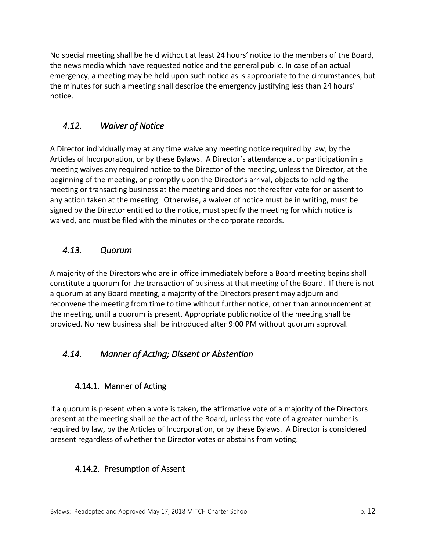No special meeting shall be held without at least 24 hours' notice to the members of the Board, the news media which have requested notice and the general public. In case of an actual emergency, a meeting may be held upon such notice as is appropriate to the circumstances, but the minutes for such a meeting shall describe the emergency justifying less than 24 hours' notice.

#### <span id="page-11-0"></span>*4.12. Waiver of Notice*

A Director individually may at any time waive any meeting notice required by law, by the Articles of Incorporation, or by these Bylaws. A Director's attendance at or participation in a meeting waives any required notice to the Director of the meeting, unless the Director, at the beginning of the meeting, or promptly upon the Director's arrival, objects to holding the meeting or transacting business at the meeting and does not thereafter vote for or assent to any action taken at the meeting. Otherwise, a waiver of notice must be in writing, must be signed by the Director entitled to the notice, must specify the meeting for which notice is waived, and must be filed with the minutes or the corporate records.

#### <span id="page-11-1"></span>*4.13. Quorum*

A majority of the Directors who are in office immediately before a Board meeting begins shall constitute a quorum for the transaction of business at that meeting of the Board. If there is not a quorum at any Board meeting, a majority of the Directors present may adjourn and reconvene the meeting from time to time without further notice, other than announcement at the meeting, until a quorum is present. Appropriate public notice of the meeting shall be provided. No new business shall be introduced after 9:00 PM without quorum approval.

#### <span id="page-11-2"></span>*4.14. Manner of Acting; Dissent or Abstention*

#### <span id="page-11-3"></span>4.14.1. Manner of Acting

If a quorum is present when a vote is taken, the affirmative vote of a majority of the Directors present at the meeting shall be the act of the Board, unless the vote of a greater number is required by law, by the Articles of Incorporation, or by these Bylaws. A Director is considered present regardless of whether the Director votes or abstains from voting.

#### <span id="page-11-4"></span>4.14.2. Presumption of Assent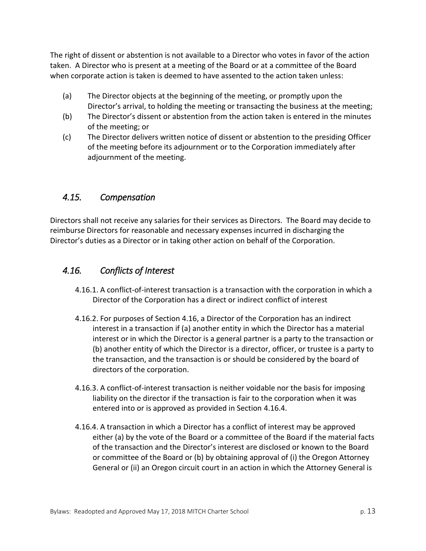The right of dissent or abstention is not available to a Director who votes in favor of the action taken. A Director who is present at a meeting of the Board or at a committee of the Board when corporate action is taken is deemed to have assented to the action taken unless:

- (a) The Director objects at the beginning of the meeting, or promptly upon the Director's arrival, to holding the meeting or transacting the business at the meeting;
- (b) The Director's dissent or abstention from the action taken is entered in the minutes of the meeting; or
- (c) The Director delivers written notice of dissent or abstention to the presiding Officer of the meeting before its adjournment or to the Corporation immediately after adjournment of the meeting.

#### <span id="page-12-0"></span>*4.15. Compensation*

Directors shall not receive any salaries for their services as Directors. The Board may decide to reimburse Directors for reasonable and necessary expenses incurred in discharging the Director's duties as a Director or in taking other action on behalf of the Corporation.

#### <span id="page-12-1"></span>*4.16. Conflicts of Interest*

- 4.16.1. A conflict-of-interest transaction is a transaction with the corporation in which a Director of the Corporation has a direct or indirect conflict of interest
- 4.16.2. For purposes of Section 4.16, a Director of the Corporation has an indirect interest in a transaction if (a) another entity in which the Director has a material interest or in which the Director is a general partner is a party to the transaction or (b) another entity of which the Director is a director, officer, or trustee is a party to the transaction, and the transaction is or should be considered by the board of directors of the corporation.
- 4.16.3. A conflict-of-interest transaction is neither voidable nor the basis for imposing liability on the director if the transaction is fair to the corporation when it was entered into or is approved as provided in Section 4.16.4.
- 4.16.4. A transaction in which a Director has a conflict of interest may be approved either (a) by the vote of the Board or a committee of the Board if the material facts of the transaction and the Director's interest are disclosed or known to the Board or committee of the Board or (b) by obtaining approval of (i) the Oregon Attorney General or (ii) an Oregon circuit court in an action in which the Attorney General is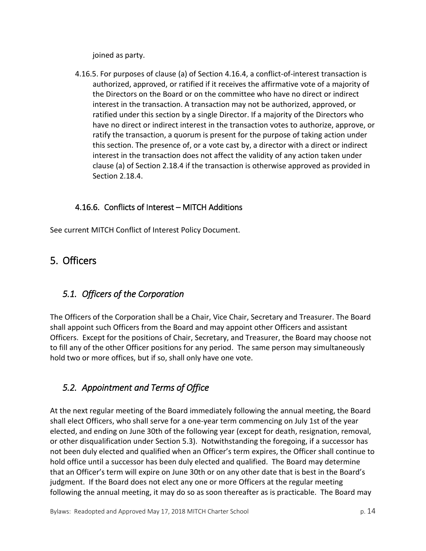joined as party.

4.16.5. For purposes of clause (a) of Section 4.16.4, a conflict-of-interest transaction is authorized, approved, or ratified if it receives the affirmative vote of a majority of the Directors on the Board or on the committee who have no direct or indirect interest in the transaction. A transaction may not be authorized, approved, or ratified under this section by a single Director. If a majority of the Directors who have no direct or indirect interest in the transaction votes to authorize, approve, or ratify the transaction, a quorum is present for the purpose of taking action under this section. The presence of, or a vote cast by, a director with a direct or indirect interest in the transaction does not affect the validity of any action taken under clause (a) of Section 2.18.4 if the transaction is otherwise approved as provided in Section 2.18.4.

#### 4.16.6. Conflicts of Interest – MITCH Additions

See current MITCH Conflict of Interest Policy Document.

# <span id="page-13-0"></span>5. Officers

#### <span id="page-13-1"></span>*5.1. Officers of the Corporation*

The Officers of the Corporation shall be a Chair, Vice Chair, Secretary and Treasurer. The Board shall appoint such Officers from the Board and may appoint other Officers and assistant Officers. Except for the positions of Chair, Secretary, and Treasurer, the Board may choose not to fill any of the other Officer positions for any period. The same person may simultaneously hold two or more offices, but if so, shall only have one vote.

# <span id="page-13-2"></span>*5.2. Appointment and Terms of Office*

At the next regular meeting of the Board immediately following the annual meeting, the Board shall elect Officers, who shall serve for a one-year term commencing on July 1st of the year elected, and ending on June 30th of the following year (except for death, resignation, removal, or other disqualification under Section 5.3). Notwithstanding the foregoing, if a successor has not been duly elected and qualified when an Officer's term expires, the Officer shall continue to hold office until a successor has been duly elected and qualified. The Board may determine that an Officer's term will expire on June 30th or on any other date that is best in the Board's judgment. If the Board does not elect any one or more Officers at the regular meeting following the annual meeting, it may do so as soon thereafter as is practicable. The Board may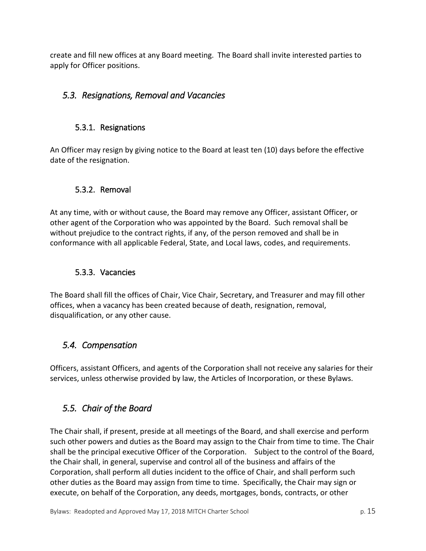create and fill new offices at any Board meeting. The Board shall invite interested parties to apply for Officer positions.

#### <span id="page-14-1"></span><span id="page-14-0"></span>*5.3. Resignations, Removal and Vacancies*

#### 5.3.1. Resignations

An Officer may resign by giving notice to the Board at least ten (10) days before the effective date of the resignation.

#### <span id="page-14-2"></span>5.3.2. Removal

At any time, with or without cause, the Board may remove any Officer, assistant Officer, or other agent of the Corporation who was appointed by the Board. Such removal shall be without prejudice to the contract rights, if any, of the person removed and shall be in conformance with all applicable Federal, State, and Local laws, codes, and requirements.

#### <span id="page-14-3"></span>5.3.3. Vacancies

The Board shall fill the offices of Chair, Vice Chair, Secretary, and Treasurer and may fill other offices, when a vacancy has been created because of death, resignation, removal, disqualification, or any other cause.

#### <span id="page-14-4"></span>*5.4. Compensation*

Officers, assistant Officers, and agents of the Corporation shall not receive any salaries for their services, unless otherwise provided by law, the Articles of Incorporation, or these Bylaws.

#### <span id="page-14-5"></span>*5.5. Chair of the Board*

The Chair shall, if present, preside at all meetings of the Board, and shall exercise and perform such other powers and duties as the Board may assign to the Chair from time to time. The Chair shall be the principal executive Officer of the Corporation. Subject to the control of the Board, the Chair shall, in general, supervise and control all of the business and affairs of the Corporation, shall perform all duties incident to the office of Chair, and shall perform such other duties as the Board may assign from time to time. Specifically, the Chair may sign or execute, on behalf of the Corporation, any deeds, mortgages, bonds, contracts, or other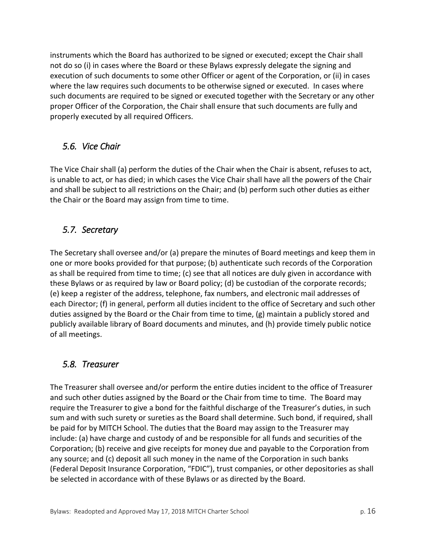instruments which the Board has authorized to be signed or executed; except the Chair shall not do so (i) in cases where the Board or these Bylaws expressly delegate the signing and execution of such documents to some other Officer or agent of the Corporation, or (ii) in cases where the law requires such documents to be otherwise signed or executed. In cases where such documents are required to be signed or executed together with the Secretary or any other proper Officer of the Corporation, the Chair shall ensure that such documents are fully and properly executed by all required Officers.

#### <span id="page-15-0"></span>*5.6. Vice Chair*

The Vice Chair shall (a) perform the duties of the Chair when the Chair is absent, refuses to act, is unable to act, or has died; in which cases the Vice Chair shall have all the powers of the Chair and shall be subject to all restrictions on the Chair; and (b) perform such other duties as either the Chair or the Board may assign from time to time.

#### <span id="page-15-1"></span>*5.7. Secretary*

The Secretary shall oversee and/or (a) prepare the minutes of Board meetings and keep them in one or more books provided for that purpose; (b) authenticate such records of the Corporation as shall be required from time to time; (c) see that all notices are duly given in accordance with these Bylaws or as required by law or Board policy; (d) be custodian of the corporate records; (e) keep a register of the address, telephone, fax numbers, and electronic mail addresses of each Director; (f) in general, perform all duties incident to the office of Secretary and such other duties assigned by the Board or the Chair from time to time, (g) maintain a publicly stored and publicly available library of Board documents and minutes, and (h) provide timely public notice of all meetings.

#### <span id="page-15-2"></span>*5.8. Treasurer*

The Treasurer shall oversee and/or perform the entire duties incident to the office of Treasurer and such other duties assigned by the Board or the Chair from time to time. The Board may require the Treasurer to give a bond for the faithful discharge of the Treasurer's duties, in such sum and with such surety or sureties as the Board shall determine. Such bond, if required, shall be paid for by MITCH School. The duties that the Board may assign to the Treasurer may include: (a) have charge and custody of and be responsible for all funds and securities of the Corporation; (b) receive and give receipts for money due and payable to the Corporation from any source; and (c) deposit all such money in the name of the Corporation in such banks (Federal Deposit Insurance Corporation, "FDIC"), trust companies, or other depositories as shall be selected in accordance with of these Bylaws or as directed by the Board.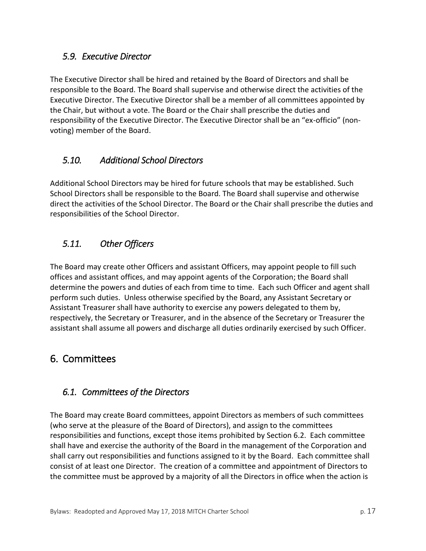#### <span id="page-16-0"></span>*5.9. Executive Director*

The Executive Director shall be hired and retained by the Board of Directors and shall be responsible to the Board. The Board shall supervise and otherwise direct the activities of the Executive Director. The Executive Director shall be a member of all committees appointed by the Chair, but without a vote. The Board or the Chair shall prescribe the duties and responsibility of the Executive Director. The Executive Director shall be an "ex-officio" (nonvoting) member of the Board.

#### <span id="page-16-1"></span>*5.10. Additional School Directors*

Additional School Directors may be hired for future schools that may be established. Such School Directors shall be responsible to the Board. The Board shall supervise and otherwise direct the activities of the School Director. The Board or the Chair shall prescribe the duties and responsibilities of the School Director.

#### <span id="page-16-2"></span>*5.11. Other Officers*

The Board may create other Officers and assistant Officers, may appoint people to fill such offices and assistant offices, and may appoint agents of the Corporation; the Board shall determine the powers and duties of each from time to time. Each such Officer and agent shall perform such duties. Unless otherwise specified by the Board, any Assistant Secretary or Assistant Treasurer shall have authority to exercise any powers delegated to them by, respectively, the Secretary or Treasurer, and in the absence of the Secretary or Treasurer the assistant shall assume all powers and discharge all duties ordinarily exercised by such Officer.

# <span id="page-16-3"></span>6. Committees

#### <span id="page-16-4"></span>*6.1. Committees of the Directors*

The Board may create Board committees, appoint Directors as members of such committees (who serve at the pleasure of the Board of Directors), and assign to the committees responsibilities and functions, except those items prohibited by Section 6.2. Each committee shall have and exercise the authority of the Board in the management of the Corporation and shall carry out responsibilities and functions assigned to it by the Board. Each committee shall consist of at least one Director. The creation of a committee and appointment of Directors to the committee must be approved by a majority of all the Directors in office when the action is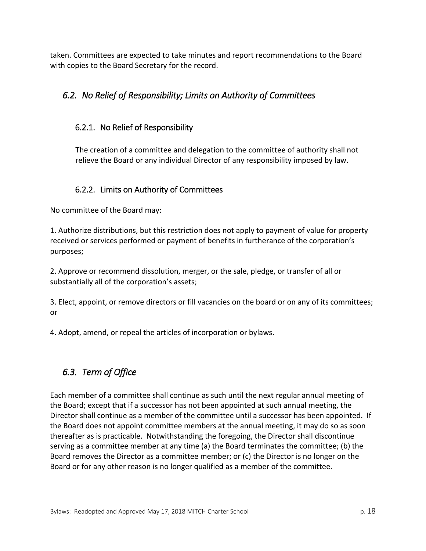taken. Committees are expected to take minutes and report recommendations to the Board with copies to the Board Secretary for the record.

# <span id="page-17-1"></span><span id="page-17-0"></span>*6.2. No Relief of Responsibility; Limits on Authority of Committees*

#### 6.2.1. No Relief of Responsibility

The creation of a committee and delegation to the committee of authority shall not relieve the Board or any individual Director of any responsibility imposed by law.

#### <span id="page-17-2"></span>6.2.2. Limits on Authority of Committees

No committee of the Board may:

1. Authorize distributions, but this restriction does not apply to payment of value for property received or services performed or payment of benefits in furtherance of the corporation's purposes;

2. Approve or recommend dissolution, merger, or the sale, pledge, or transfer of all or substantially all of the corporation's assets;

3. Elect, appoint, or remove directors or fill vacancies on the board or on any of its committees; or

4. Adopt, amend, or repeal the articles of incorporation or bylaws.

# <span id="page-17-3"></span>*6.3. Term of Office*

Each member of a committee shall continue as such until the next regular annual meeting of the Board; except that if a successor has not been appointed at such annual meeting, the Director shall continue as a member of the committee until a successor has been appointed. If the Board does not appoint committee members at the annual meeting, it may do so as soon thereafter as is practicable. Notwithstanding the foregoing, the Director shall discontinue serving as a committee member at any time (a) the Board terminates the committee; (b) the Board removes the Director as a committee member; or (c) the Director is no longer on the Board or for any other reason is no longer qualified as a member of the committee.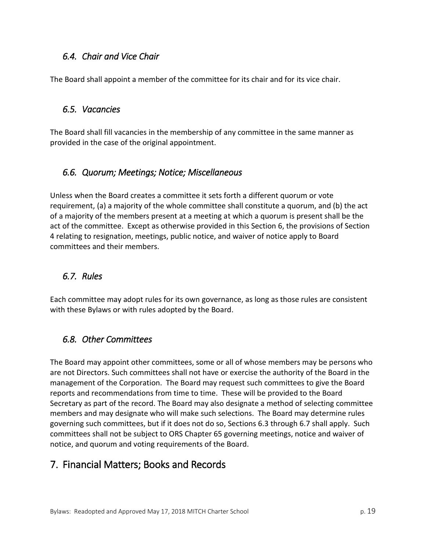#### <span id="page-18-0"></span>*6.4. Chair and Vice Chair*

The Board shall appoint a member of the committee for its chair and for its vice chair.

#### <span id="page-18-1"></span>*6.5. Vacancies*

The Board shall fill vacancies in the membership of any committee in the same manner as provided in the case of the original appointment.

#### <span id="page-18-2"></span>*6.6. Quorum; Meetings; Notice; Miscellaneous*

Unless when the Board creates a committee it sets forth a different quorum or vote requirement, (a) a majority of the whole committee shall constitute a quorum, and (b) the act of a majority of the members present at a meeting at which a quorum is present shall be the act of the committee. Except as otherwise provided in this Section 6, the provisions of Section 4 relating to resignation, meetings, public notice, and waiver of notice apply to Board committees and their members.

#### <span id="page-18-3"></span>*6.7. Rules*

Each committee may adopt rules for its own governance, as long as those rules are consistent with these Bylaws or with rules adopted by the Board.

#### <span id="page-18-4"></span>*6.8. Other Committees*

The Board may appoint other committees, some or all of whose members may be persons who are not Directors. Such committees shall not have or exercise the authority of the Board in the management of the Corporation. The Board may request such committees to give the Board reports and recommendations from time to time. These will be provided to the Board Secretary as part of the record. The Board may also designate a method of selecting committee members and may designate who will make such selections. The Board may determine rules governing such committees, but if it does not do so, Sections 6.3 through 6.7 shall apply. Such committees shall not be subject to ORS Chapter 65 governing meetings, notice and waiver of notice, and quorum and voting requirements of the Board.

# <span id="page-18-5"></span>7. Financial Matters; Books and Records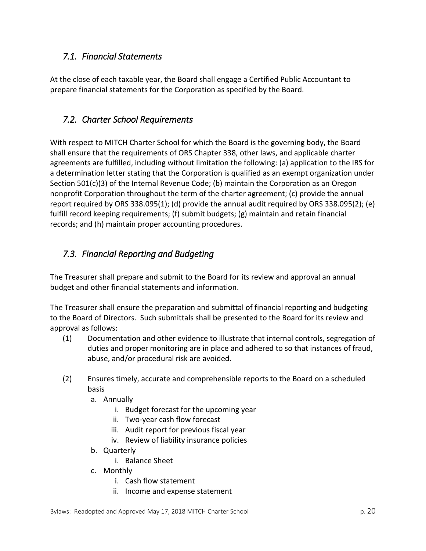#### <span id="page-19-0"></span>*7.1. Financial Statements*

At the close of each taxable year, the Board shall engage a Certified Public Accountant to prepare financial statements for the Corporation as specified by the Board.

#### <span id="page-19-1"></span>*7.2. Charter School Requirements*

With respect to MITCH Charter School for which the Board is the governing body, the Board shall ensure that the requirements of ORS Chapter 338, other laws, and applicable charter agreements are fulfilled, including without limitation the following: (a) application to the IRS for a determination letter stating that the Corporation is qualified as an exempt organization under Section 501(c)(3) of the Internal Revenue Code; (b) maintain the Corporation as an Oregon nonprofit Corporation throughout the term of the charter agreement; (c) provide the annual report required by ORS 338.095(1); (d) provide the annual audit required by ORS 338.095(2); (e) fulfill record keeping requirements; (f) submit budgets; (g) maintain and retain financial records; and (h) maintain proper accounting procedures.

# <span id="page-19-2"></span>*7.3. Financial Reporting and Budgeting*

The Treasurer shall prepare and submit to the Board for its review and approval an annual budget and other financial statements and information.

The Treasurer shall ensure the preparation and submittal of financial reporting and budgeting to the Board of Directors. Such submittals shall be presented to the Board for its review and approval as follows:

- (1) Documentation and other evidence to illustrate that internal controls, segregation of duties and proper monitoring are in place and adhered to so that instances of fraud, abuse, and/or procedural risk are avoided.
- (2) Ensures timely, accurate and comprehensible reports to the Board on a scheduled basis
	- a. Annually
		- i. Budget forecast for the upcoming year
		- ii. Two-year cash flow forecast
		- iii. Audit report for previous fiscal year
		- iv. Review of liability insurance policies
	- b. Quarterly
		- i. Balance Sheet
	- c. Monthly
		- i. Cash flow statement
		- ii. Income and expense statement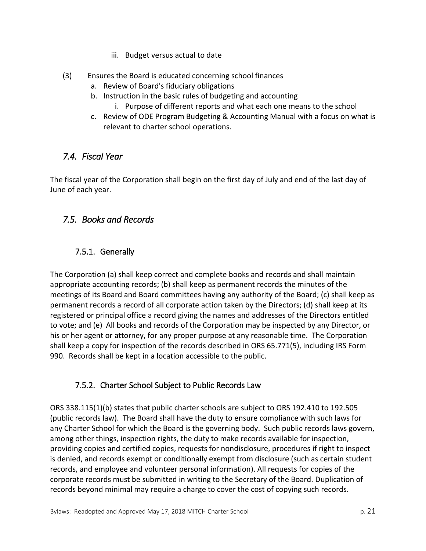- iii. Budget versus actual to date
- (3) Ensures the Board is educated concerning school finances
	- a. Review of Board's fiduciary obligations
	- b. Instruction in the basic rules of budgeting and accounting
		- i. Purpose of different reports and what each one means to the school
	- c. Review of ODE Program Budgeting & Accounting Manual with a focus on what is relevant to charter school operations.

#### <span id="page-20-0"></span>*7.4. Fiscal Year*

The fiscal year of the Corporation shall begin on the first day of July and end of the last day of June of each year.

# <span id="page-20-2"></span><span id="page-20-1"></span>*7.5. Books and Records*

#### 7.5.1. Generally

The Corporation (a) shall keep correct and complete books and records and shall maintain appropriate accounting records; (b) shall keep as permanent records the minutes of the meetings of its Board and Board committees having any authority of the Board; (c) shall keep as permanent records a record of all corporate action taken by the Directors; (d) shall keep at its registered or principal office a record giving the names and addresses of the Directors entitled to vote; and (e) All books and records of the Corporation may be inspected by any Director, or his or her agent or attorney, for any proper purpose at any reasonable time. The Corporation shall keep a copy for inspection of the records described in ORS 65.771(5), including IRS Form 990. Records shall be kept in a location accessible to the public.

#### <span id="page-20-3"></span>7.5.2. Charter School Subject to Public Records Law

ORS 338.115(1)(b) states that public charter schools are subject to ORS 192.410 to 192.505 (public records law). The Board shall have the duty to ensure compliance with such laws for any Charter School for which the Board is the governing body. Such public records laws govern, among other things, inspection rights, the duty to make records available for inspection, providing copies and certified copies, requests for nondisclosure, procedures if right to inspect is denied, and records exempt or conditionally exempt from disclosure (such as certain student records, and employee and volunteer personal information). All requests for copies of the corporate records must be submitted in writing to the Secretary of the Board. Duplication of records beyond minimal may require a charge to cover the cost of copying such records.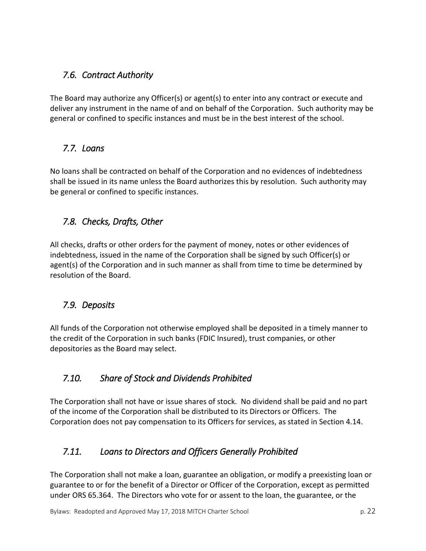## <span id="page-21-0"></span>*7.6. Contract Authority*

The Board may authorize any Officer(s) or agent(s) to enter into any contract or execute and deliver any instrument in the name of and on behalf of the Corporation. Such authority may be general or confined to specific instances and must be in the best interest of the school.

#### <span id="page-21-1"></span>*7.7. Loans*

No loans shall be contracted on behalf of the Corporation and no evidences of indebtedness shall be issued in its name unless the Board authorizes this by resolution. Such authority may be general or confined to specific instances.

# <span id="page-21-2"></span>*7.8. Checks, Drafts, Other*

All checks, drafts or other orders for the payment of money, notes or other evidences of indebtedness, issued in the name of the Corporation shall be signed by such Officer(s) or agent(s) of the Corporation and in such manner as shall from time to time be determined by resolution of the Board.

#### <span id="page-21-3"></span>*7.9. Deposits*

All funds of the Corporation not otherwise employed shall be deposited in a timely manner to the credit of the Corporation in such banks (FDIC Insured), trust companies, or other depositories as the Board may select.

#### <span id="page-21-4"></span>*7.10. Share of Stock and Dividends Prohibited*

The Corporation shall not have or issue shares of stock. No dividend shall be paid and no part of the income of the Corporation shall be distributed to its Directors or Officers. The Corporation does not pay compensation to its Officers for services, as stated in Section 4.14.

#### <span id="page-21-5"></span>*7.11. Loans to Directors and Officers Generally Prohibited*

The Corporation shall not make a loan, guarantee an obligation, or modify a preexisting loan or guarantee to or for the benefit of a Director or Officer of the Corporation, except as permitted under ORS 65.364. The Directors who vote for or assent to the loan, the guarantee, or the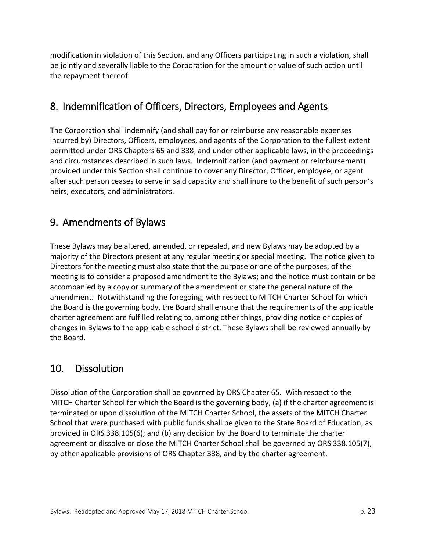modification in violation of this Section, and any Officers participating in such a violation, shall be jointly and severally liable to the Corporation for the amount or value of such action until the repayment thereof.

# <span id="page-22-0"></span>8. Indemnification of Officers, Directors, Employees and Agents

The Corporation shall indemnify (and shall pay for or reimburse any reasonable expenses incurred by) Directors, Officers, employees, and agents of the Corporation to the fullest extent permitted under ORS Chapters 65 and 338, and under other applicable laws, in the proceedings and circumstances described in such laws. Indemnification (and payment or reimbursement) provided under this Section shall continue to cover any Director, Officer, employee, or agent after such person ceases to serve in said capacity and shall inure to the benefit of such person's heirs, executors, and administrators.

# <span id="page-22-1"></span>9. Amendments of Bylaws

These Bylaws may be altered, amended, or repealed, and new Bylaws may be adopted by a majority of the Directors present at any regular meeting or special meeting. The notice given to Directors for the meeting must also state that the purpose or one of the purposes, of the meeting is to consider a proposed amendment to the Bylaws; and the notice must contain or be accompanied by a copy or summary of the amendment or state the general nature of the amendment. Notwithstanding the foregoing, with respect to MITCH Charter School for which the Board is the governing body, the Board shall ensure that the requirements of the applicable charter agreement are fulfilled relating to, among other things, providing notice or copies of changes in Bylaws to the applicable school district. These Bylaws shall be reviewed annually by the Board.

# <span id="page-22-2"></span>10. Dissolution

Dissolution of the Corporation shall be governed by ORS Chapter 65. With respect to the MITCH Charter School for which the Board is the governing body, (a) if the charter agreement is terminated or upon dissolution of the MITCH Charter School, the assets of the MITCH Charter School that were purchased with public funds shall be given to the State Board of Education, as provided in ORS 338.105(6); and (b) any decision by the Board to terminate the charter agreement or dissolve or close the MITCH Charter School shall be governed by ORS 338.105(7), by other applicable provisions of ORS Chapter 338, and by the charter agreement.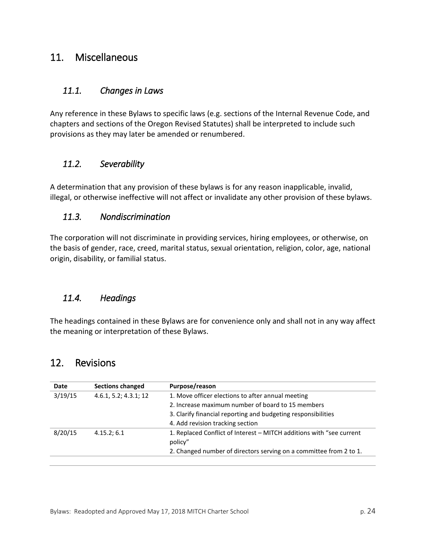## <span id="page-23-0"></span>11. Miscellaneous

#### <span id="page-23-1"></span>*11.1. Changes in Laws*

Any reference in these Bylaws to specific laws (e.g. sections of the Internal Revenue Code, and chapters and sections of the Oregon Revised Statutes) shall be interpreted to include such provisions as they may later be amended or renumbered.

#### <span id="page-23-2"></span>*11.2. Severability*

A determination that any provision of these bylaws is for any reason inapplicable, invalid, illegal, or otherwise ineffective will not affect or invalidate any other provision of these bylaws.

#### <span id="page-23-3"></span>*11.3. Nondiscrimination*

The corporation will not discriminate in providing services, hiring employees, or otherwise, on the basis of gender, race, creed, marital status, sexual orientation, religion, color, age, national origin, disability, or familial status.

#### <span id="page-23-4"></span>*11.4. Headings*

The headings contained in these Bylaws are for convenience only and shall not in any way affect the meaning or interpretation of these Bylaws.

#### <span id="page-23-5"></span>12. Revisions

| Date    | <b>Sections changed</b> | Purpose/reason                                                                  |
|---------|-------------------------|---------------------------------------------------------------------------------|
| 3/19/15 | 4.6.1, 5.2; 4.3.1; 12   | 1. Move officer elections to after annual meeting                               |
|         |                         | 2. Increase maximum number of board to 15 members                               |
|         |                         | 3. Clarify financial reporting and budgeting responsibilities                   |
|         |                         | 4. Add revision tracking section                                                |
| 8/20/15 | 4.15.2; 6.1             | 1. Replaced Conflict of Interest - MITCH additions with "see current<br>policy" |
|         |                         | 2. Changed number of directors serving on a committee from 2 to 1.              |